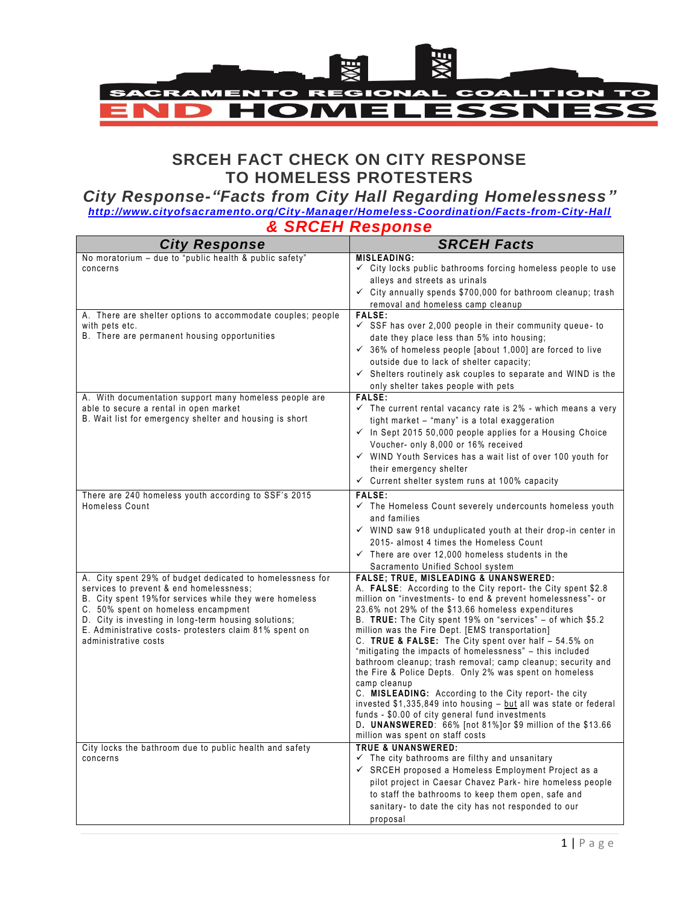

# **SRCEH FACT CHECK ON CITY RESPONSE TO HOMELESS PROTESTERS**

# *City Response-"Facts from City Hall Regarding Homelessness"*

*<http://www.cityofsacramento.org/City-Manager/Homeless-Coordination/Facts-from-City-Hall> & SRCEH Response*

| <b>City Response</b>                                                                               | <b>SRCEH Facts</b>                                                                                                                 |
|----------------------------------------------------------------------------------------------------|------------------------------------------------------------------------------------------------------------------------------------|
| No moratorium - due to "public health & public safety"                                             | <b>MISLEADING:</b>                                                                                                                 |
| concerns                                                                                           | $\checkmark$ City locks public bathrooms forcing homeless people to use<br>alleys and streets as urinals                           |
|                                                                                                    | $\checkmark$ City annually spends \$700,000 for bathroom cleanup; trash                                                            |
|                                                                                                    | removal and homeless camp cleanup                                                                                                  |
| A. There are shelter options to accommodate couples; people                                        | <b>FALSE:</b>                                                                                                                      |
| with pets etc.<br>B. There are permanent housing opportunities                                     | $\checkmark$ SSF has over 2,000 people in their community queue- to<br>date they place less than 5% into housing;                  |
|                                                                                                    | $\checkmark$ 36% of homeless people [about 1,000] are forced to live                                                               |
|                                                                                                    | outside due to lack of shelter capacity;                                                                                           |
|                                                                                                    | $\checkmark$ Shelters routinely ask couples to separate and WIND is the                                                            |
|                                                                                                    | only shelter takes people with pets                                                                                                |
| A. With documentation support many homeless people are                                             | FALSE:                                                                                                                             |
| able to secure a rental in open market<br>B. Wait list for emergency shelter and housing is short  | $\checkmark$ The current rental vacancy rate is 2% - which means a very<br>tight market – "many" is a total exaggeration           |
|                                                                                                    | $\checkmark$ In Sept 2015 50,000 people applies for a Housing Choice                                                               |
|                                                                                                    | Voucher- only 8,000 or 16% received                                                                                                |
|                                                                                                    | $\checkmark$ WIND Youth Services has a wait list of over 100 youth for                                                             |
|                                                                                                    | their emergency shelter                                                                                                            |
|                                                                                                    | $\checkmark$ Current shelter system runs at 100% capacity                                                                          |
| There are 240 homeless youth according to SSF's 2015                                               | <b>FALSE:</b>                                                                                                                      |
| Homeless Count                                                                                     | $\checkmark$ The Homeless Count severely undercounts homeless youth<br>and families                                                |
|                                                                                                    | $\checkmark$ WIND saw 918 unduplicated youth at their drop-in center in                                                            |
|                                                                                                    | 2015- almost 4 times the Homeless Count                                                                                            |
|                                                                                                    | $\checkmark$ There are over 12,000 homeless students in the                                                                        |
|                                                                                                    | Sacramento Unified School system                                                                                                   |
| A. City spent 29% of budget dedicated to homelessness for                                          | <b>FALSE: TRUE, MISLEADING &amp; UNANSWERED:</b>                                                                                   |
| services to prevent & end homelessness;<br>B. City spent 19% for services while they were homeless | A. <b>FALSE:</b> According to the City report- the City spent \$2.8<br>million on "investments- to end & prevent homelessness"- or |
| C. 50% spent on homeless encampment                                                                | 23.6% not 29% of the \$13.66 homeless expenditures                                                                                 |
| D. City is investing in long-term housing solutions;                                               | B. TRUE: The City spent 19% on "services" - of which \$5.2                                                                         |
| E. Administrative costs- protesters claim 81% spent on<br>administrative costs                     | million was the Fire Dept. [EMS transportation]<br>C. TRUE & FALSE: The City spent over half - 54.5% on                            |
|                                                                                                    | "mitigating the impacts of homelessness" - this included                                                                           |
|                                                                                                    | bathroom cleanup; trash removal; camp cleanup; security and                                                                        |
|                                                                                                    | the Fire & Police Depts. Only 2% was spent on homeless<br>camp cleanup                                                             |
|                                                                                                    | C. MISLEADING: According to the City report- the city                                                                              |
|                                                                                                    | invested \$1,335,849 into housing - but all was state or federal                                                                   |
|                                                                                                    | funds - \$0.00 of city general fund investments<br>D. UNANSWERED: 66% [not 81%] or \$9 million of the \$13.66                      |
|                                                                                                    | million was spent on staff costs                                                                                                   |
| City locks the bathroom due to public health and safety                                            | <b>TRUE &amp; UNANSWERED:</b>                                                                                                      |
| concerns                                                                                           | $\checkmark$ The city bathrooms are filthy and unsanitary                                                                          |
|                                                                                                    | $\checkmark$ SRCEH proposed a Homeless Employment Project as a                                                                     |
|                                                                                                    | pilot project in Caesar Chavez Park- hire homeless people<br>to staff the bathrooms to keep them open, safe and                    |
|                                                                                                    | sanitary- to date the city has not responded to our                                                                                |
|                                                                                                    | proposal                                                                                                                           |
|                                                                                                    |                                                                                                                                    |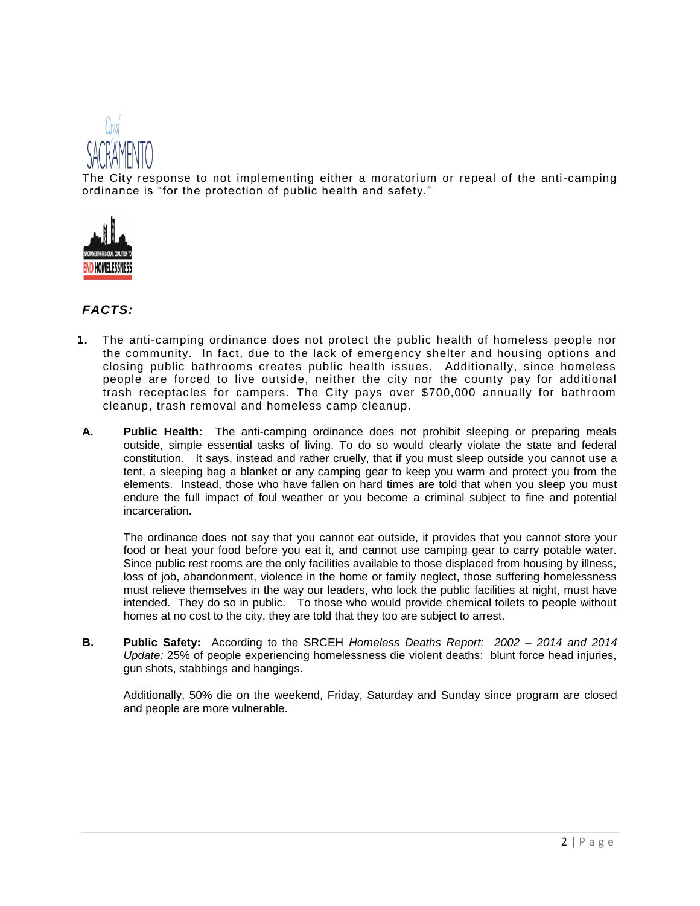

The City response to not implementing either a moratorium or repeal of the anti-camping ordinance is "for the protection of public health and safety."



## *FACTS:*

- **1.** The anti-camping ordinance does not protect the public health of homeless people nor the community. In fact, due to the lack of emergency shelter and housing options and closing public bathrooms creates public health issues. Additionally, since homeless people are forced to live outside, neither the city nor the county pay for additional trash receptacles for campers. The City pays over \$700,000 annually for bathroom cleanup, trash removal and homeless camp cleanup.
- **A. Public Health:** The anti-camping ordinance does not prohibit sleeping or preparing meals outside, simple essential tasks of living. To do so would clearly violate the state and federal constitution. It says, instead and rather cruelly, that if you must sleep outside you cannot use a tent, a sleeping bag a blanket or any camping gear to keep you warm and protect you from the elements. Instead, those who have fallen on hard times are told that when you sleep you must endure the full impact of foul weather or you become a criminal subject to fine and potential incarceration.

The ordinance does not say that you cannot eat outside, it provides that you cannot store your food or heat your food before you eat it, and cannot use camping gear to carry potable water. Since public rest rooms are the only facilities available to those displaced from housing by illness, loss of job, abandonment, violence in the home or family neglect, those suffering homelessness must relieve themselves in the way our leaders, who lock the public facilities at night, must have intended. They do so in public. To those who would provide chemical toilets to people without homes at no cost to the city, they are told that they too are subject to arrest.

**B. Public Safety:** According to the SRCEH *Homeless Deaths Report: 2002 – 2014 and 2014 Update:* 25% of people experiencing homelessness die violent deaths: blunt force head injuries, gun shots, stabbings and hangings.

Additionally, 50% die on the weekend, Friday, Saturday and Sunday since program are closed and people are more vulnerable.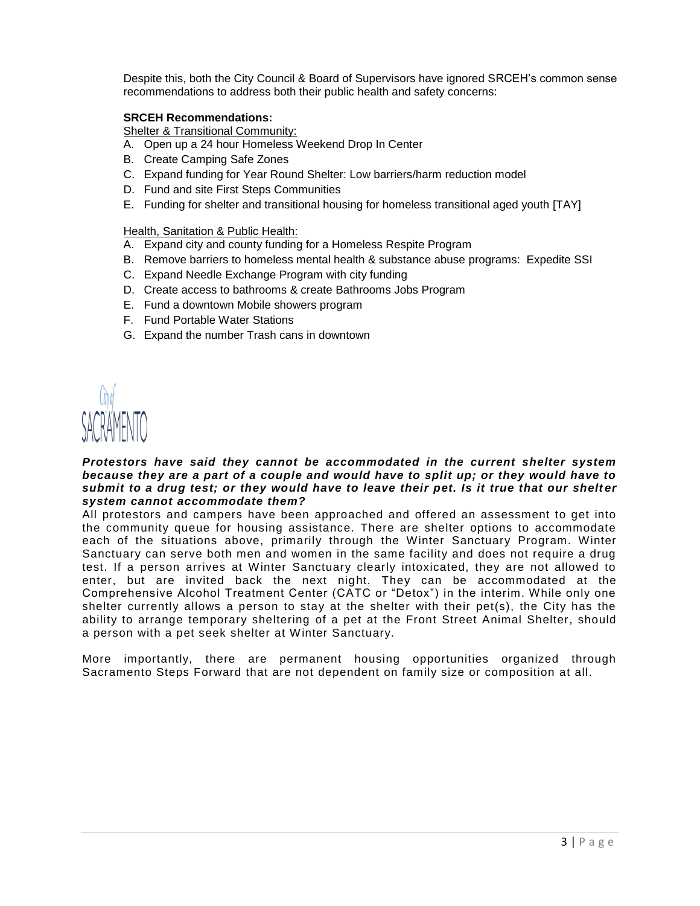Despite this, both the City Council & Board of Supervisors have ignored SRCEH's common sense recommendations to address both their public health and safety concerns:

#### **SRCEH Recommendations:**

Shelter & Transitional Community:

- A. Open up a 24 hour Homeless Weekend Drop In Center
- B. Create Camping Safe Zones
- C. Expand funding for Year Round Shelter: Low barriers/harm reduction model
- D. Fund and site First Steps Communities
- E. Funding for shelter and transitional housing for homeless transitional aged youth [TAY]

#### Health, Sanitation & Public Health:

- A. Expand city and county funding for a Homeless Respite Program
- B. Remove barriers to homeless mental health & substance abuse programs: Expedite SSI
- C. Expand Needle Exchange Program with city funding
- D. Create access to bathrooms & create Bathrooms Jobs Program
- E. Fund a downtown Mobile showers program
- F. Fund Portable Water Stations
- G. Expand the number Trash cans in downtown



#### *Protestors have said they cannot be accommodated in the current shelter system because they are a part of a couple and would have to split up; or they would have to submit to a drug test; or they would have to leave their pet. Is it true that our shelter system cannot accommodate them?*

All protestors and campers have been approached and offered an assessment to get into the community queue for housing assistance. There are shelter options to accommodate each of the situations above, primarily through the Winter Sanctuary Program. Winter Sanctuary can serve both men and women in the same facility and does not require a drug test. If a person arrives at Winter Sanctuary clearly intoxicated, they are not allowed to enter, but are invited back the next night. They can be accommodated at the Comprehensive Alcohol Treatment Center (CATC or "Detox") in the interim. While only one shelter currently allows a person to stay at the shelter with their pet(s), the City has the ability to arrange temporary sheltering of a pet at the Front Street Animal Shelter, should a person with a pet seek shelter at Winter Sanctuary.

More importantly, there are permanent housing opportunities organized through [Sacramento Steps Forward](http://www.cityofsacramento.org/City-Manager/Homeless-Coordination/www.sacramentostepsforward.org) that are not dependent on family size or composition at all.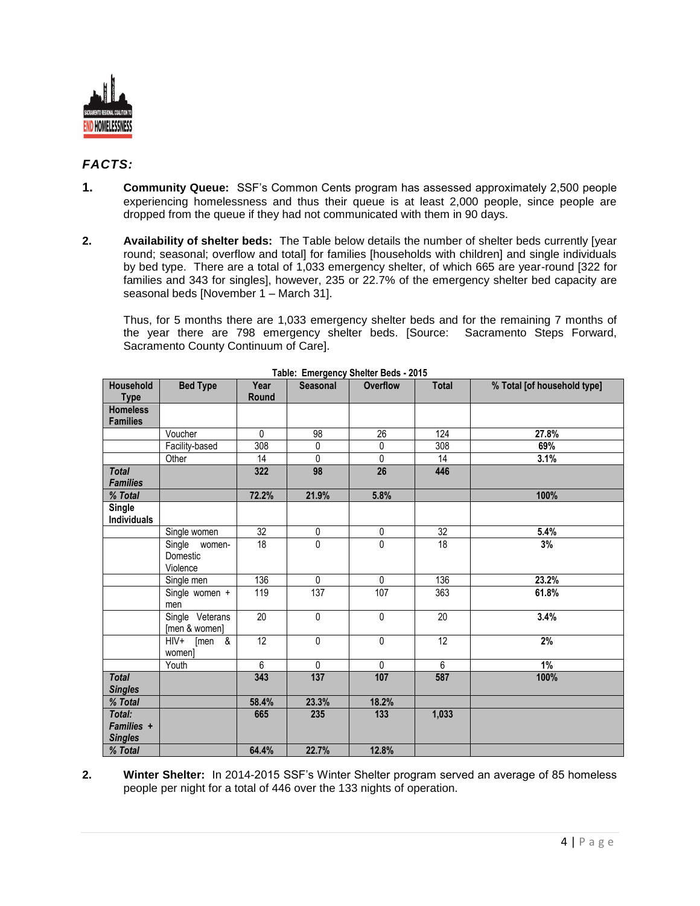

## *FACTS:*

- **1. Community Queue:** SSF's Common Cents program has assessed approximately 2,500 people experiencing homelessness and thus their queue is at least 2,000 people, since people are dropped from the queue if they had not communicated with them in 90 days.
- **2. Availability of shelter beds:** The Table below details the number of shelter beds currently [year round; seasonal; overflow and total] for families [households with children] and single individuals by bed type. There are a total of 1,033 emergency shelter, of which 665 are year-round [322 for families and 343 for singles], however, 235 or 22.7% of the emergency shelter bed capacity are seasonal beds [November 1 – March 31].

Thus, for 5 months there are 1,033 emergency shelter beds and for the remaining 7 months of the year there are 798 emergency shelter beds. [Source: Sacramento Steps Forward, Sacramento County Continuum of Care].

| Household                              | <b>Bed Type</b>                              | Year            | Seasonal    | <b>Overflow</b> | <b>Total</b>    | % Total [of household type] |
|----------------------------------------|----------------------------------------------|-----------------|-------------|-----------------|-----------------|-----------------------------|
| <b>Type</b>                            |                                              | Round           |             |                 |                 |                             |
| <b>Homeless</b><br><b>Families</b>     |                                              |                 |             |                 |                 |                             |
|                                        | Voucher                                      | 0               | 98          | 26              | 124             | 27.8%                       |
|                                        | Facility-based                               | 308             | 0           | 0               | 308             | 69%                         |
|                                        | Other                                        | 14              | 0           | $\overline{0}$  | 14              | 3.1%                        |
| <b>Total</b><br><b>Families</b>        |                                              | 322             | 98          | 26              | 446             |                             |
| % Total                                |                                              | 72.2%           | 21.9%       | 5.8%            |                 | 100%                        |
| Single<br><b>Individuals</b>           |                                              |                 |             |                 |                 |                             |
|                                        | Single women                                 | 32              | $\pmb{0}$   | $\pmb{0}$       | 32              | 5.4%                        |
|                                        | Single women-<br>Domestic<br>Violence        | 18              | $\Omega$    | 0               | 18              | 3%                          |
|                                        | Single men                                   | 136             | $\mathbf 0$ | $\mathbf 0$     | 136             | 23.2%                       |
|                                        | Single women +<br>men                        | 119             | 137         | 107             | 363             | 61.8%                       |
|                                        | Single Veterans<br>[men & women]             | 20              | 0           | 0               | 20              | 3.4%                        |
|                                        | $[men \quad &$<br>$H_{\text{IV+}}$<br>women] | $\overline{12}$ | $\mathbf 0$ | 0               | $\overline{12}$ | 2%                          |
|                                        | Youth                                        | 6               | $\mathbf 0$ | $\mathbf{0}$    | $6\phantom{1}$  | 1%                          |
| <b>Total</b><br><b>Singles</b>         |                                              | 343             | 137         | 107             | 587             | 100%                        |
| % Total                                |                                              | 58.4%           | 23.3%       | 18.2%           |                 |                             |
| Total:<br>Families +<br><b>Singles</b> |                                              | 665             | 235         | 133             | 1,033           |                             |
| % Total                                |                                              | 64.4%           | 22.7%       | 12.8%           |                 |                             |

**Table: Emergency Shelter Beds - 2015**

**2. Winter Shelter:** In 2014-2015 SSF's Winter Shelter program served an average of 85 homeless people per night for a total of 446 over the 133 nights of operation.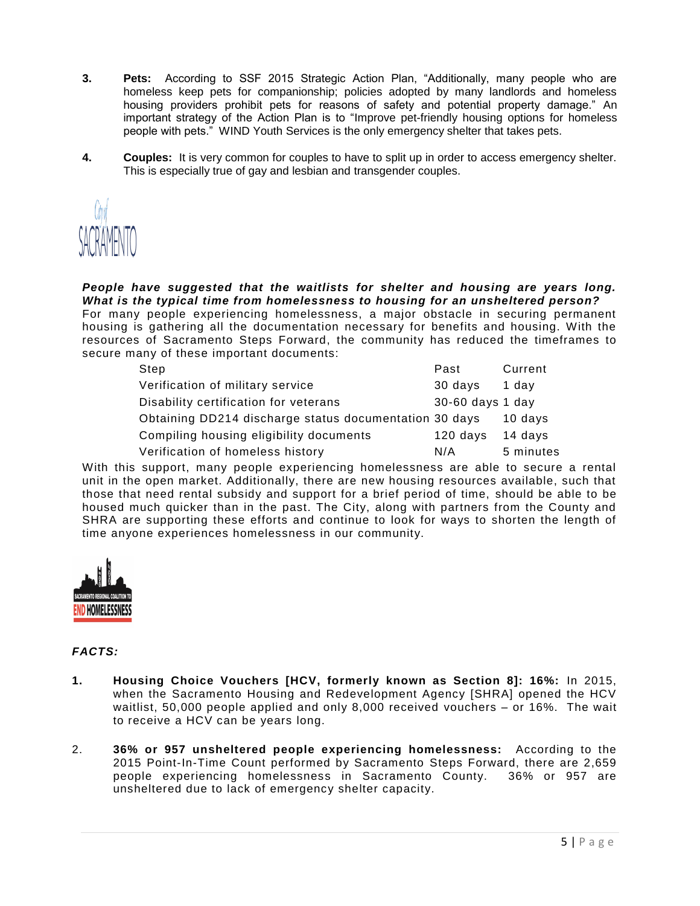- **3. Pets:** According to SSF 2015 Strategic Action Plan, "Additionally, many people who are homeless keep pets for companionship; policies adopted by many landlords and homeless housing providers prohibit pets for reasons of safety and potential property damage." An important strategy of the Action Plan is to "Improve pet-friendly housing options for homeless people with pets." WIND Youth Services is the only emergency shelter that takes pets.
- **4. Couples:** It is very common for couples to have to split up in order to access emergency shelter. This is especially true of gay and lesbian and transgender couples.



*People have suggested that the waitlists for shelter and housing are years long. What is the typical time from homelessness to housing for an unsheltered person?* For many people experiencing homelessness, a major obstacle in securing permanent housing is gathering all the documentation necessary for benefits and housing. With the resources of [Sacramento Steps Forward,](http://www.cityofsacramento.org/City-Manager/Homeless-Coordination/www.sacramentostepsforward.org) the community has reduced the timeframes to secure many of these important documents:

| Step                                                   | Past             | Current   |
|--------------------------------------------------------|------------------|-----------|
| Verification of military service                       | 30 days          | 1 dav     |
| Disability certification for veterans                  | 30-60 days 1 day |           |
| Obtaining DD214 discharge status documentation 30 days |                  | 10 days   |
| Compiling housing eligibility documents                | 120 days         | 14 days   |
| Verification of homeless history                       | N/A              | 5 minutes |

With this support, many people experiencing homelessness are able to secure a rental unit in the open market. Additionally, there are new housing resources available, such that those that need rental subsidy and support for a brief period of time, should be able to be housed much quicker than in the past. The City, along with partners from the County and [SHRA](http://www.shra.org/) are supporting these efforts and continue to look for ways to shorten the length of time anyone experiences homelessness in our community.



## *FACTS:*

- **1. Housing Choice Vouchers [HCV, formerly known as Section 8]: 16%:** In 2015, when the Sacramento Housing and Redevelopment Agency [SHRA] opened the HCV waitlist, 50,000 people applied and only 8,000 received vouchers – or 16%. The wait to receive a HCV can be years long.
- 2. **36% or 957 unsheltered people experiencing homelessness:** According to the 2015 Point-In-Time Count performed by Sacramento Steps Forward, there are 2,659 people experiencing homelessness in Sacramento County. 36% or 957 are unsheltered due to lack of emergency shelter capacity.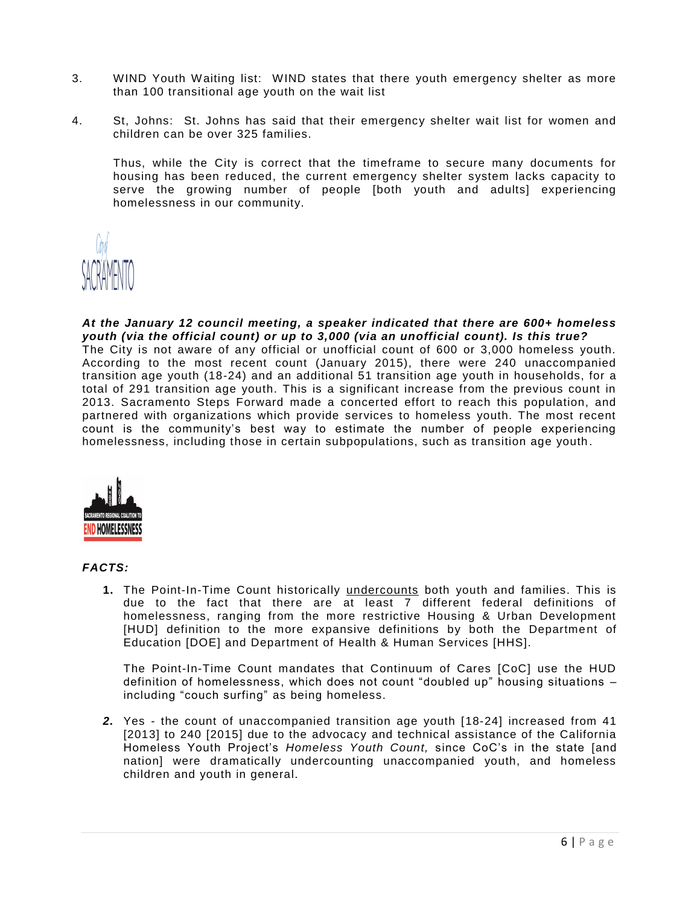- 3. WIND Youth Waiting list: WIND states that there youth emergency shelter as more than 100 transitional age youth on the wait list
- 4. St, Johns: St. Johns has said that their emergency shelter wait list for women and children can be over 325 families.

Thus, while the City is correct that the timeframe to secure many documents for housing has been reduced, the current emergency shelter system lacks capacity to serve the growing number of people [both youth and adults] experiencing homelessness in our community.



*At the January 12 council meeting, a speaker indicated that there are 600+ homeless youth (via the official count) or up to 3,000 (via an unofficial count). Is this true?* The City is not aware of any official or unofficial count of 600 or 3,000 homeless youth. According to the most recent count (January 2015), there were 240 unaccompanied transition age youth (18-24) and an additional 51 transition age youth in households, for a total of 291 transition age youth. This is a significant increase from the previous count in 2013. [Sacramento Steps Forward](http://www.cityofsacramento.org/City-Manager/Homeless-Coordination/www.sacramentostepsforward.org) made a concerted effort to reach this population, and partnered with organizations which provide services to homeless youth. The most recent count is the community's best way to estimate the number of people experiencing homelessness, including those in certain subpopulations, such as transition age youth .



#### *FACTS:*

**1.** The Point-In-Time Count historically undercounts both youth and families. This is due to the fact that there are at least 7 different federal definitions of homelessness, ranging from the more restrictive Housing & Urban Development [HUD] definition to the more expansive definitions by both the Department of Education [DOE] and Department of Health & Human Services [HHS].

The Point-In-Time Count mandates that Continuum of Cares [CoC] use the HUD definition of homelessness, which does not count "doubled up" housing situations – including "couch surfing" as being homeless.

*2.* Yes - the count of unaccompanied transition age youth [18-24] increased from 41 [2013] to 240 [2015] due to the advocacy and technical assistance of the California Homeless Youth Project's *Homeless Youth Count,* since CoC's in the state [and nation] were dramatically undercounting unaccompanied youth, and homeless children and youth in general.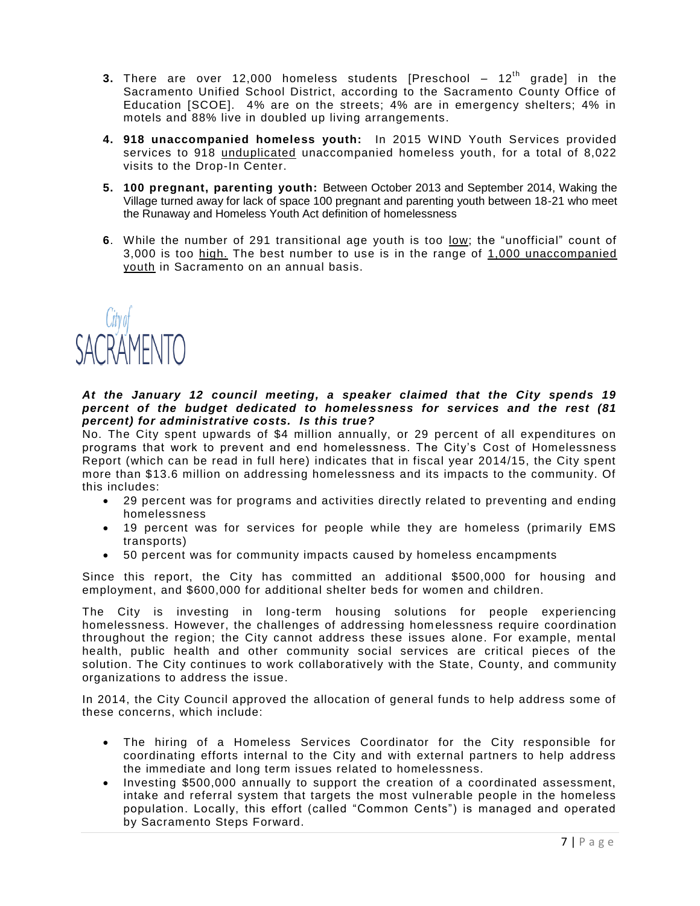- **3.** There are over 12,000 homeless students [Preschool  $-12<sup>th</sup>$  grade] in the Sacramento Unified School District, according to the Sacramento County Office of Education [SCOE]. 4% are on the streets; 4% are in emergency shelters; 4% in motels and 88% live in doubled up living arrangements.
- **4. 918 unaccompanied homeless youth:** In 2015 WIND Youth Services provided services to 918 unduplicated unaccompanied homeless youth, for a total of 8,022 visits to the Drop-In Center.
- **5. 100 pregnant, parenting youth:** Between October 2013 and September 2014, Waking the Village turned away for lack of space 100 pregnant and parenting youth between 18-21 who meet the Runaway and Homeless Youth Act definition of homelessness
- **6**. While the number of 291 transitional age youth is too low; the "unofficial" count of 3,000 is too high. The best number to use is in the range of 1,000 unaccompanied youth in Sacramento on an annual basis.



#### *At the January 12 council meeting, a speaker claimed that the City spends 19 percent of the budget dedicated to homelessness for services and the rest (81 percent) for administrative costs. Is this true?*

No. The City spent upwards of \$4 million annually, or 29 percent of all expenditures on programs that work to prevent and end homelessness. The City's Cost of Homelessness Report (which can be read in full here) indicates that in fiscal year 2014/15, the City spent more than \$13.6 million on addressing homelessness and its impacts to the community. Of this includes:

- 29 percent was for programs and activities directly related to preventing and ending homelessness
- 19 percent was for services for people while they are homeless (primarily EMS transports)
- 50 percent was for community impacts caused by homeless encampments

Since this report, the City has committed an additional \$500,000 for housing and employment, and \$600,000 for additional shelter beds for women and children.

The City is investing in long-term housing solutions for people experiencing homelessness. However, the challenges of addressing hom elessness require coordination throughout the region; the City cannot address these issues alone. For example, mental health, public health and other community social services are critical pieces of the solution. The City continues to work collaboratively with the State, County, and community organizations to address the issue.

In 2014, the City Council approved the allocation of general funds to help address some of these concerns, which include:

- The hiring of a Homeless Services Coordinator for the City responsible for coordinating efforts internal to the City and with external partners to help address the immediate and long term issues related to homelessness.
- Investing \$500,000 annually to support the creation of a coordinated assessment, intake and referral system that targets the most vulnerable people in the homeless population. Locally, this effort (called "Common Cents") is managed and operated by Sacramento Steps Forward.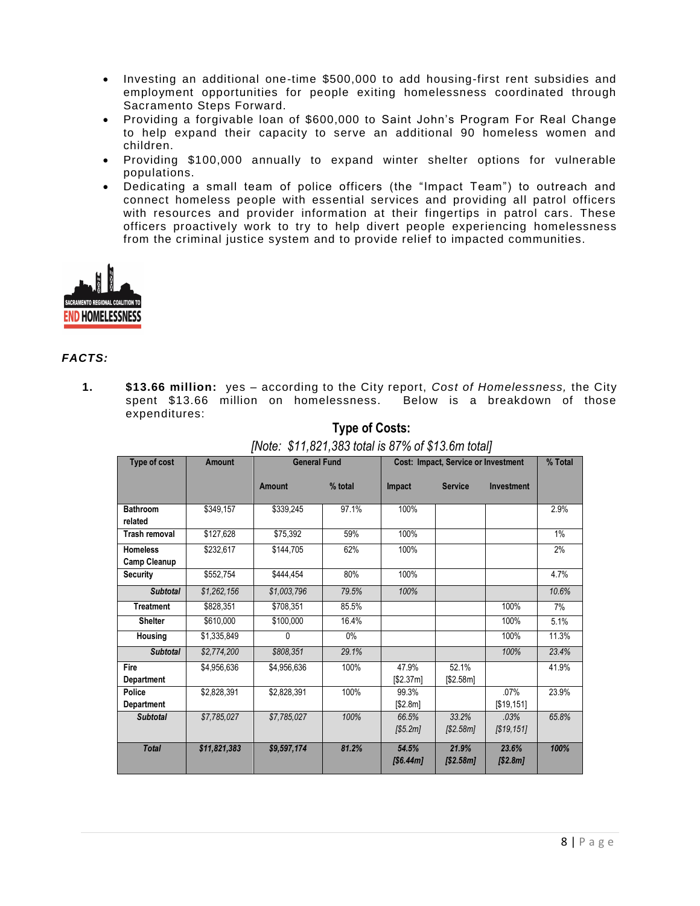- Investing an additional one-time \$500,000 to add housing-first rent subsidies and employment opportunities for people exiting homelessness coordinated through Sacramento Steps Forward.
- Providing a forgivable loan of \$600,000 to [Saint John's Program For Real Change](http://saintjohnsprogram.org/) to help expand their capacity to serve an additional 90 homeless women and children.
- Providing \$100,000 annually to expand winter shelter options for vulnerable populations.
- Dedicating a small team of police officers (the "Impact Team") to outreach and connect homeless people with essential services and providing all patrol officers with resources and provider information at their fingertips in patrol cars. These officers proactively work to try to help divert people experiencing homelessness from the criminal justice system and to provide relief to impacted communities.



### *FACTS:*

**1. \$13.66 million:** yes – according to the City report, *Cost of Homelessness,* the City spent \$13.66 million on homelessness. Below is a breakdown of those expenditures:

| Type of cost                           | <b>Amount</b> | <b>General Fund</b> |         | Cost: Impact, Service or Investment |                    |                    | % Total |
|----------------------------------------|---------------|---------------------|---------|-------------------------------------|--------------------|--------------------|---------|
|                                        |               | Amount              | % total | Impact                              | <b>Service</b>     | <b>Investment</b>  |         |
| <b>Bathroom</b><br>related             | \$349,157     | \$339,245           | 97.1%   | 100%                                |                    |                    | 2.9%    |
| Trash removal                          | \$127,628     | \$75,392            | 59%     | 100%                                |                    |                    | 1%      |
| <b>Homeless</b><br><b>Camp Cleanup</b> | \$232,617     | \$144,705           | 62%     | 100%                                |                    |                    | 2%      |
| <b>Security</b>                        | \$552,754     | \$444,454           | 80%     | 100%                                |                    |                    | 4.7%    |
| <b>Subtotal</b>                        | \$1,262,156   | \$1,003,796         | 79.5%   | 100%                                |                    |                    | 10.6%   |
| <b>Treatment</b>                       | \$828,351     | \$708,351           | 85.5%   |                                     |                    | 100%               | 7%      |
| <b>Shelter</b>                         | \$610,000     | \$100,000           | 16.4%   |                                     |                    | 100%               | 5.1%    |
| <b>Housing</b>                         | \$1,335,849   | 0                   | $0\%$   |                                     |                    | 100%               | 11.3%   |
| <b>Subtotal</b>                        | \$2,774,200   | \$808,351           | 29.1%   |                                     |                    | 100%               | 23.4%   |
| Fire<br><b>Department</b>              | \$4,956,636   | \$4.956.636         | 100%    | 47.9%<br>[\$2.37ml]                 | 52.1%<br>\$2.58ml  |                    | 41.9%   |
| Police<br><b>Department</b>            | \$2,828,391   | \$2,828,391         | 100%    | 99.3%<br>[\$2.8m]                   |                    | .07%<br>[\$19,151] | 23.9%   |
| <b>Subtotal</b>                        | \$7,785,027   | \$7,785,027         | 100%    | 66.5%<br>[\$5.2m]                   | 33.2%<br>[\$2.58m] | .03%<br>[\$19,151] | 65.8%   |
| <b>Total</b>                           | \$11,821,383  | \$9,597,174         | 81.2%   | 54.5%<br>[\$6.44 <sub>m</sub> ]     | 21.9%<br>[\$2.58m] | 23.6%<br>[\$2.8m]  | 100%    |

**Type of Costs:** *[Note: \$11,821,383 total is 87% of \$13.6m total]*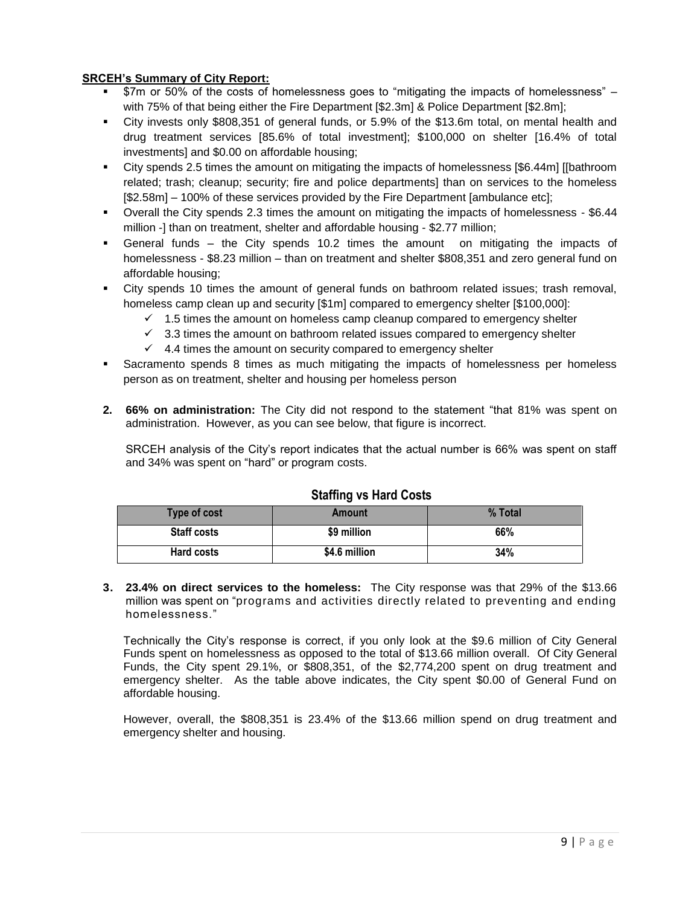### **SRCEH's Summary of City Report:**

- \$7m or 50% of the costs of homelessness goes to "mitigating the impacts of homelessness" with 75% of that being either the Fire Department [\$2.3m] & Police Department [\$2.8m];
- City invests only \$808,351 of general funds, or 5.9% of the \$13.6m total, on mental health and drug treatment services [85.6% of total investment]; \$100,000 on shelter [16.4% of total investments] and \$0.00 on affordable housing;
- City spends 2.5 times the amount on mitigating the impacts of homelessness [\$6.44m] [[bathroom related; trash; cleanup; security; fire and police departments] than on services to the homeless [\$2.58m] – 100% of these services provided by the Fire Department [ambulance etc];
- Overall the City spends 2.3 times the amount on mitigating the impacts of homelessness \$6.44 million -] than on treatment, shelter and affordable housing - \$2.77 million;
- General funds the City spends 10.2 times the amount on mitigating the impacts of homelessness - \$8.23 million – than on treatment and shelter \$808,351 and zero general fund on affordable housing;
- City spends 10 times the amount of general funds on bathroom related issues; trash removal, homeless camp clean up and security [\$1m] compared to emergency shelter [\$100,000]:
	- $\checkmark$  1.5 times the amount on homeless camp cleanup compared to emergency shelter
	- $\checkmark$  3.3 times the amount on bathroom related issues compared to emergency shelter
	- $4.4$  times the amount on security compared to emergency shelter
- Sacramento spends 8 times as much mitigating the impacts of homelessness per homeless person as on treatment, shelter and housing per homeless person
- **2. 66% on administration:** The City did not respond to the statement "that 81% was spent on administration. However, as you can see below, that figure is incorrect.

SRCEH analysis of the City's report indicates that the actual number is 66% was spent on staff and 34% was spent on "hard" or program costs.

| <b>Type of cost</b> | Amount        | % Total |  |  |
|---------------------|---------------|---------|--|--|
| <b>Staff costs</b>  | \$9 million   | 66%     |  |  |
| <b>Hard costs</b>   | \$4.6 million | 34%     |  |  |

## **Staffing vs Hard Costs**

**3. 23.4% on direct services to the homeless:** The City response was that 29% of the \$13.66 million was spent on "programs and activities directly related to preventing and ending homelessness."

Technically the City's response is correct, if you only look at the \$9.6 million of City General Funds spent on homelessness as opposed to the total of \$13.66 million overall. Of City General Funds, the City spent 29.1%, or \$808,351, of the \$2,774,200 spent on drug treatment and emergency shelter. As the table above indicates, the City spent \$0.00 of General Fund on affordable housing.

However, overall, the \$808,351 is 23.4% of the \$13.66 million spend on drug treatment and emergency shelter and housing.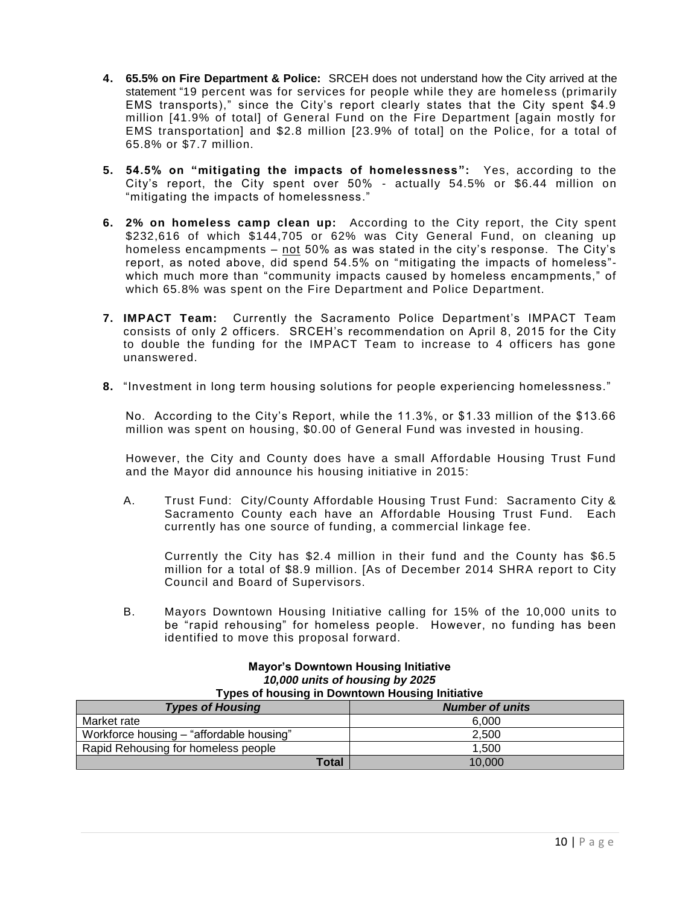- **4. 65.5% on Fire Department & Police:** SRCEH does not understand how the City arrived at the statement "19 percent was for services for people while they are homeless (primarily EMS transports)," since the City's report clearly states that the City spent \$4.9 million [41.9% of total] of General Fund on the Fire Department [again mostly for EMS transportation] and \$2.8 million [23.9% of total] on the Polic e, for a total of 65.8% or \$7.7 million.
- **5. 54.5% on "mitigating the impacts of homelessness":** Yes, according to the City's report, the City spent over 50% - actually 54.5% or \$6.44 million on "mitigating the impacts of homelessness."
- **6. 2% on homeless camp clean up:** According to the City report, the City spent \$232,616 of which \$144,705 or 62% was City General Fund, on cleaning up homeless encampments – not 50% as was stated in the city's response. The City's report, as noted above, did spend 54.5% on "mitigating the impacts of homeless" which much more than "community impacts caused by homeless encampments," of which 65.8% was spent on the Fire Department and Police Department.
- **7. IMPACT Team:** Currently the Sacramento Police Department's IMPACT Team consists of only 2 officers. SRCEH's recommendation on April 8, 2015 for the City to double the funding for the IMPACT Team to increase to 4 officers has gone unanswered.
- **8.** "Investment in long term housing solutions for people experiencing homelessness."

No. According to the City's Report, while the 11.3%, or \$1.33 million of the \$13.66 million was spent on housing, \$0.00 of General Fund was invested in housing.

However, the City and County does have a small Affordable Housing Trust Fund and the Mayor did announce his housing initiative in 2015:

A. Trust Fund: City/County Affordable Housing Trust Fund: Sacramento City & Sacramento County each have an Affordable Housing Trust Fund. Each currently has one source of funding, a commercial linkage fee.

Currently the City has \$2.4 million in their fund and the County has \$6.5 million for a total of \$8.9 million. [As of December 2014 SHRA report to City Council and Board of Supervisors.

B. Mayors Downtown Housing Initiative calling for 15% of the 10,000 units to be "rapid rehousing" for homeless people. However, no funding has been identified to move this proposal forward.

| 10,000 units of housing by 2025<br><b>Types of housing in Downtown Housing Initiative</b> |                        |  |  |
|-------------------------------------------------------------------------------------------|------------------------|--|--|
| <b>Types of Housing</b>                                                                   | <b>Number of units</b> |  |  |
| Market rate                                                                               | 6.000                  |  |  |
| Workforce housing - "affordable housing"                                                  | 2,500                  |  |  |
| Rapid Rehousing for homeless people                                                       | 1.500                  |  |  |
| <b>Total</b>                                                                              | 10,000                 |  |  |

# **Mayor's Downtown Housing Initiative** *10,000 units of housing by 2025*